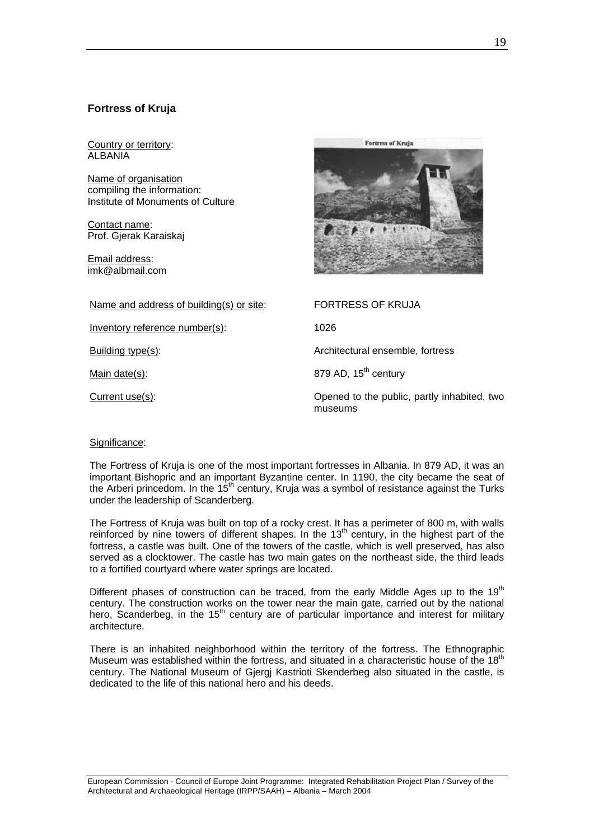# **Fortress of Kruja**

Country or territory: ALBANIA

Name of organisation compiling the information: Institute of Monuments of Culture

Contact name: Prof. Gjerak Karaiskaj

Email address: imk@albmail.com



Name and address of building(s) or site: FORTRESS OF KRUJA

Inventory reference number(s): 1026

Building type(s): Architectural ensemble, fortress

Main date(s):  $879$  AD,  $15<sup>th</sup>$  century

Current use(s): Opened to the public, partly inhabited, two museums

## Significance:

The Fortress of Kruja is one of the most important fortresses in Albania. In 879 AD, it was an important Bishopric and an important Byzantine center. In 1190, the city became the seat of the Arberi princedom. In the  $15<sup>th</sup>$  century, Kruja was a symbol of resistance against the Turks under the leadership of Scanderberg.

The Fortress of Kruja was built on top of a rocky crest. It has a perimeter of 800 m, with walls reinforced by nine towers of different shapes. In the  $13<sup>th</sup>$  century, in the highest part of the fortress, a castle was built. One of the towers of the castle, which is well preserved, has also served as a clocktower. The castle has two main gates on the northeast side, the third leads to a fortified courtyard where water springs are located.

Different phases of construction can be traced, from the early Middle Ages up to the  $19<sup>th</sup>$ century. The construction works on the tower near the main gate, carried out by the national hero, Scanderbeg, in the  $15<sup>th</sup>$  century are of particular importance and interest for military architecture.

There is an inhabited neighborhood within the territory of the fortress. The Ethnographic Museum was established within the fortress, and situated in a characteristic house of the  $18<sup>th</sup>$ century. The National Museum of Gjergj Kastrioti Skenderbeg also situated in the castle, is dedicated to the life of this national hero and his deeds.

European Commission - Council of Europe Joint Programme: Integrated Rehabilitation Project Plan / Survey of the Architectural and Archaeological Heritage (IRPP/SAAH) – Albania – March 2004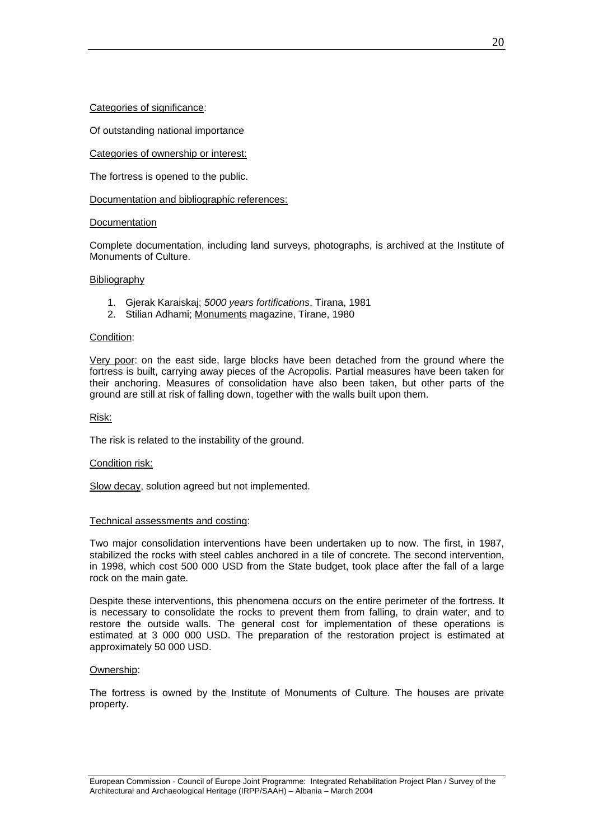Categories of significance:

Of outstanding national importance

Categories of ownership or interest:

The fortress is opened to the public.

Documentation and bibliographic references:

## Documentation

Complete documentation, including land surveys, photographs, is archived at the Institute of Monuments of Culture.

## **Bibliography**

- 1. Gjerak Karaiskaj; *5000 years fortifications*, Tirana, 1981
- 2. Stilian Adhami; Monuments magazine, Tirane, 1980

#### Condition:

Very poor: on the east side, large blocks have been detached from the ground where the fortress is built, carrying away pieces of the Acropolis. Partial measures have been taken for their anchoring. Measures of consolidation have also been taken, but other parts of the ground are still at risk of falling down, together with the walls built upon them.

Risk:

The risk is related to the instability of the ground.

## Condition risk:

Slow decay, solution agreed but not implemented.

## Technical assessments and costing:

Two major consolidation interventions have been undertaken up to now. The first, in 1987, stabilized the rocks with steel cables anchored in a tile of concrete. The second intervention, in 1998, which cost 500 000 USD from the State budget, took place after the fall of a large rock on the main gate.

Despite these interventions, this phenomena occurs on the entire perimeter of the fortress. It is necessary to consolidate the rocks to prevent them from falling, to drain water, and to restore the outside walls. The general cost for implementation of these operations is estimated at 3 000 000 USD. The preparation of the restoration project is estimated at approximately 50 000 USD.

## Ownership:

The fortress is owned by the Institute of Monuments of Culture. The houses are private property.